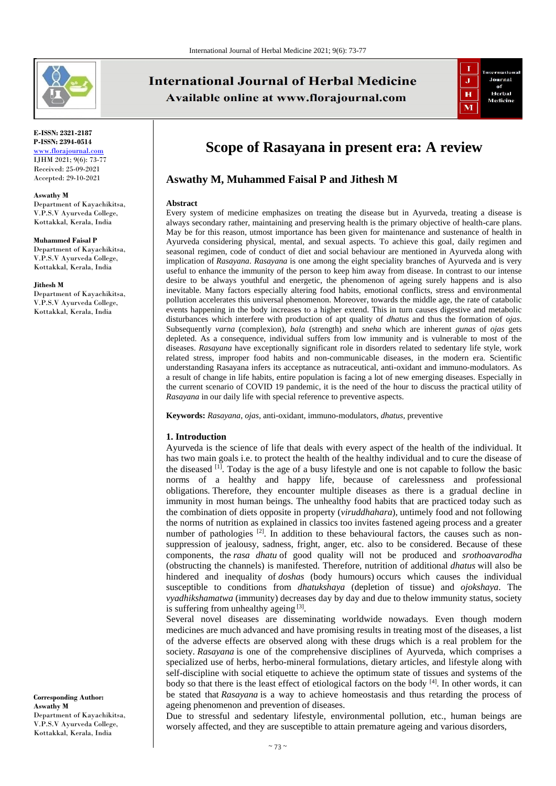

#### **E-ISSN: 2321-2187 P-ISSN: 2394-0514** [www.florajournal.com](file://Server/test/Flora%20Journal/Issue/8%20vol/2%20issue/www.florajournal.com) IJHM 2021; 9(6): 73-77 Received: 25-09-2021 Accepted: 29-10-2021

**Aswathy M** Department of Kayachikitsa, V.P.S.V Ayurveda College, Kottakkal, Kerala, India

#### **Muhammed Faisal P**

Department of Kayachikitsa, V.P.S.V Ayurveda College, Kottakkal, Kerala, India

#### **Jithesh M**

Department of Kayachikitsa, V.P.S.V Ayurveda College, Kottakkal, Kerala, India

**Corresponding Author: Aswathy M** Department of Kayachikitsa, V.P.S.V Ayurveda College, Kottakkal, Kerala, India

# **International Journal of Herbal Medicine** Available online at www.florajournal.com



# **Scope of Rasayana in present era: A review**

# **Aswathy M, Muhammed Faisal P and Jithesh M**

#### **Abstract**

Every system of medicine emphasizes on treating the disease but in Ayurveda, treating a disease is always secondary rather, maintaining and preserving health is the primary objective of health-care plans. May be for this reason, utmost importance has been given for maintenance and sustenance of health in Ayurveda considering physical, mental, and sexual aspects. To achieve this goal, daily regimen and seasonal regimen, code of conduct of diet and social behaviour are mentioned in Ayurveda along with implication of *Rasayana*. *Rasayana* is one among the eight speciality branches of Ayurveda and is very useful to enhance the immunity of the person to keep him away from disease. In contrast to our intense desire to be always youthful and energetic, the phenomenon of ageing surely happens and is also inevitable. Many factors especially altering food habits, emotional conflicts, stress and environmental pollution accelerates this universal phenomenon. Moreover, towards the middle age, the rate of catabolic events happening in the body increases to a higher extend. This in turn causes digestive and metabolic disturbances which interfere with production of apt quality of *dhatus* and thus the formation of *ojas*. Subsequently *varna* (complexion)*, bala* (strength) and *sneha* which are inherent *gunas* of *ojas* gets depleted. As a consequence, individual suffers from low immunity and is vulnerable to most of the diseases. *Rasayana* have exceptionally significant role in disorders related to sedentary life style, work related stress, improper food habits and non-communicable diseases, in the modern era. Scientific understanding Rasayana infers its acceptance as nutraceutical, anti-oxidant and immuno-modulators. As a result of change in life habits, entire population is facing a lot of new emerging diseases. Especially in the current scenario of COVID 19 pandemic, it is the need of the hour to discuss the practical utility of *Rasayana* in our daily life with special reference to preventive aspects.

**Keywords:** *Rasayana*, *ojas,* anti-oxidant, immuno-modulators, *dhatus,* preventive

#### **1. Introduction**

Ayurveda is the science of life that deals with every aspect of the health of the individual. It has two main goals i.e. to protect the health of the healthy individual and to cure the disease of the diseased  $[1]$ . Today is the age of a busy lifestyle and one is not capable to follow the basic norms of a healthy and happy life, because of carelessness and professional obligations. Therefore, they encounter multiple diseases as there is a gradual decline in immunity in most human beings. The unhealthy food habits that are practiced today such as the combination of diets opposite in property (*viruddhahara*), untimely food and not following the norms of nutrition as explained in classics too invites fastened ageing process and a greater number of pathologies <sup>[2]</sup>. In addition to these behavioural factors, the causes such as nonsuppression of jealousy, sadness, fright, anger, etc. also to be considered. Because of these components, the *rasa dhatu* of good quality will not be produced and *srothoavarodha* (obstructing the channels) is manifested. Therefore, nutrition of additional *dhatus* will also be hindered and inequality of *doshas* (body humours) occurs which causes the individual susceptible to conditions from *dhatukshaya* (depletion of tissue) and *ojokshaya*. The *vyadhikshamatwa* (immunity) decreases day by day and due to thelow immunity status, society is suffering from unhealthy ageing [3].

Several novel diseases are disseminating worldwide nowadays. Even though modern medicines are much advanced and have promising results in treating most of the diseases, a list of the adverse effects are observed along with these drugs which is a real problem for the society. *Rasayana* is one of the comprehensive disciplines of Ayurveda, which comprises a specialized use of herbs, herbo-mineral formulations, dietary articles, and lifestyle along with self-discipline with social etiquette to achieve the optimum state of tissues and systems of the body so that there is the least effect of etiological factors on the body  $[4]$ . In other words, it can be stated that *Rasayana* is a way to achieve homeostasis and thus retarding the process of ageing phenomenon and prevention of diseases.

Due to stressful and sedentary lifestyle, environmental pollution, etc., human beings are worsely affected, and they are susceptible to attain premature ageing and various disorders,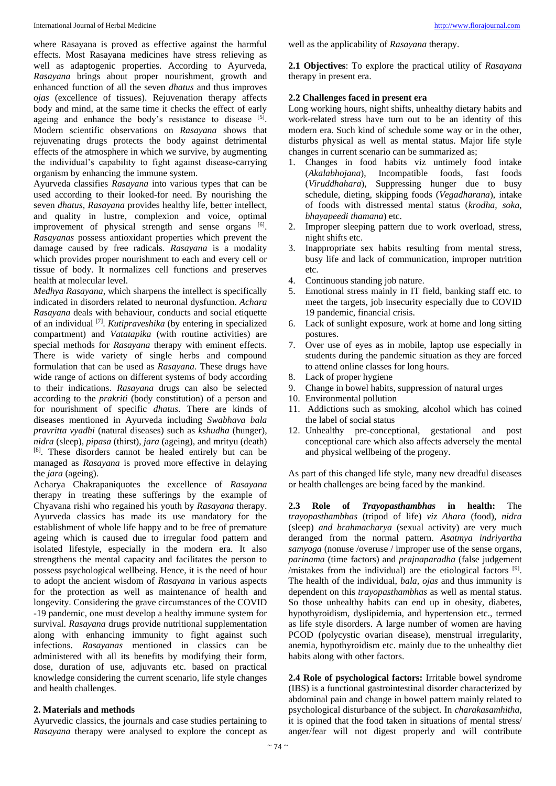where Rasayana is proved as effective against the harmful effects. Most Rasayana medicines have stress relieving as well as adaptogenic properties. According to Ayurveda, *Rasayana* brings about proper nourishment, growth and enhanced function of all the seven *dhatus* and thus improves *ojas* (excellence of tissues). Rejuvenation therapy affects body and mind, at the same time it checks the effect of early ageing and enhance the body's resistance to disease [5]. Modern scientific observations on *Rasayana* shows that rejuvenating drugs protects the body against detrimental effects of the atmosphere in which we survive, by augmenting the individual's capability to fight against disease-carrying organism by enhancing the immune system.

Ayurveda classifies *Rasayana* into various types that can be used according to their looked-for need. By nourishing the seven *dhatus, Rasayana* provides healthy life, better intellect, and quality in lustre, complexion and voice, optimal improvement of physical strength and sense organs [6]. *Rasayanas* possess antioxidant properties which prevent the damage caused by free radicals. *Rasayana* is a modality which provides proper nourishment to each and every cell or tissue of body. It normalizes cell functions and preserves health at molecular level.

*Medhya Rasayana*, which sharpens the intellect is specifically indicated in disorders related to neuronal dysfunction. *Achara Rasayana* deals with behaviour, conducts and social etiquette of an individual [7] . *Kutipraveshika* (by entering in specialized compartment) and *Vatatapika* (with routine activities) are special methods for *Rasayana* therapy with eminent effects. There is wide variety of single herbs and compound formulation that can be used as *Rasayana*. These drugs have wide range of actions on different systems of body according to their indications. *Rasayana* drugs can also be selected according to the *prakriti* (body constitution) of a person and for nourishment of specific *dhatus*. There are kinds of diseases mentioned in Ayurveda including *Swabhava bala pravritta vyadhi* (natural diseases) such as *kshudha* (hunger), *nidra* (sleep), *pipasa* (thirst), *jara* (ageing), and mrityu (death) [8]. These disorders cannot be healed entirely but can be managed as *Rasayana* is proved more effective in delaying the *jara* (ageing).

Acharya Chakrapaniquotes the excellence of *Rasayana* therapy in treating these sufferings by the example of Chyavana rishi who regained his youth by *Rasayana* therapy. Ayurveda classics has made its use mandatory for the establishment of whole life happy and to be free of premature ageing which is caused due to irregular food pattern and isolated lifestyle, especially in the modern era. It also strengthens the mental capacity and facilitates the person to possess psychological wellbeing. Hence, it is the need of hour to adopt the ancient wisdom of *Rasayana* in various aspects for the protection as well as maintenance of health and longevity. Considering the grave circumstances of the COVID -19 pandemic, one must develop a healthy immune system for survival. *Rasayana* drugs provide nutritional supplementation along with enhancing immunity to fight against such infections. *Rasayanas* mentioned in classics can be administered with all its benefits by modifying their form, dose, duration of use, adjuvants etc. based on practical knowledge considering the current scenario, life style changes and health challenges.

## **2. Materials and methods**

Ayurvedic classics, the journals and case studies pertaining to *Rasayana* therapy were analysed to explore the concept as well as the applicability of *Rasayana* therapy.

**2.1 Objectives**: To explore the practical utility of *Rasayana* therapy in present era.

## **2.2 Challenges faced in present era**

Long working hours, night shifts, unhealthy dietary habits and work-related stress have turn out to be an identity of this modern era. Such kind of schedule some way or in the other, disturbs physical as well as mental status. Major life style changes in current scenario can be summarized as;

- 1. Changes in food habits viz untimely food intake (*Akalabhojana*), Incompatible foods, fast foods (*Viruddhahara*), Suppressing hunger due to busy schedule, dieting, skipping foods (*Vegadharana*), intake of foods with distressed mental status (*krodha, soka, bhayapeedi thamana*) etc.
- 2. Improper sleeping pattern due to work overload, stress, night shifts etc.
- 3. Inappropriate sex habits resulting from mental stress, busy life and lack of communication, improper nutrition etc.
- 4. Continuous standing job nature.
- 5. Emotional stress mainly in IT field, banking staff etc. to meet the targets, job insecurity especially due to COVID 19 pandemic, financial crisis.
- 6. Lack of sunlight exposure, work at home and long sitting postures.
- 7. Over use of eyes as in mobile, laptop use especially in students during the pandemic situation as they are forced to attend online classes for long hours.
- 8. Lack of proper hygiene
- 9. Change in bowel habits, suppression of natural urges
- 10. Environmental pollution
- 11. Addictions such as smoking, alcohol which has coined the label of social status
- 12. Unhealthy pre-conceptional, gestational and post conceptional care which also affects adversely the mental and physical wellbeing of the progeny.

As part of this changed life style, many new dreadful diseases or health challenges are being faced by the mankind.

**2.3 Role of** *Trayopasthambhas* **in health:** The *trayopasthambhas* (tripod of life) *viz Ahara* (food)*, nidra* (sleep) *and brahmacharya* (sexual activity) are very much deranged from the normal pattern. *Asatmya indriyartha samyoga* (nonuse /overuse / improper use of the sense organs, *parinama* (time factors) and *prajnaparadha* (false judgement /mistakes from the individual) are the etiological factors  $[9]$ . The health of the individual, *bala, ojas* and thus immunity is dependent on this *trayopasthambhas* as well as mental status. So those unhealthy habits can end up in obesity, diabetes, hypothyroidism, dyslipidemia, and hypertension etc., termed as life style disorders. A large number of women are having PCOD (polycystic ovarian disease), menstrual irregularity, anemia, hypothyroidism etc. mainly due to the unhealthy diet habits along with other factors.

**2.4 Role of psychological factors:** Irritable bowel syndrome (IBS) is a functional gastrointestinal disorder characterized by abdominal pain and change in bowel pattern mainly related to psychological disturbance of the subject. In *charakasamhitha*, it is opined that the food taken in situations of mental stress/ anger/fear will not digest properly and will contribute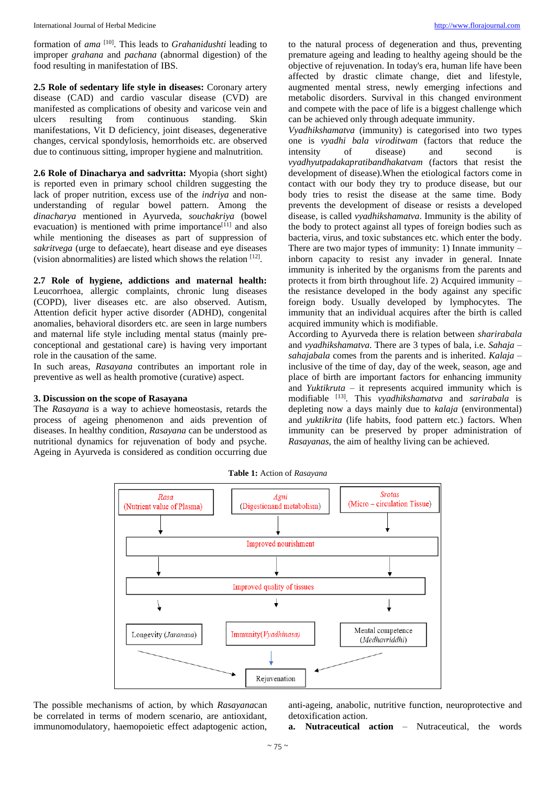formation of *ama* [10] . This leads to *Grahanidushti* leading to improper *grahana* and *pachana* (abnormal digestion) of the food resulting in manifestation of IBS.

**2.5 Role of sedentary life style in diseases:** Coronary artery disease (CAD) and cardio vascular disease (CVD) are manifested as complications of obesity and varicose vein and ulcers resulting from continuous standing. Skin manifestations, Vit D deficiency, joint diseases, degenerative changes, cervical spondylosis, hemorrhoids etc. are observed due to continuous sitting, improper hygiene and malnutrition.

**2.6 Role of Dinacharya and sadvritta:** Myopia (short sight) is reported even in primary school children suggesting the lack of proper nutrition, excess use of the *indriya* and nonunderstanding of regular bowel pattern. Among the *dinacharya* mentioned in Ayurveda, *souchakriya* (bowel evacuation) is mentioned with prime importance<sup>[11]</sup> and also while mentioning the diseases as part of suppression of *sakritvega* (urge to defaecate)*,* heart disease and eye diseases (vision abnormalities) are listed which shows the relation [12] .

**2.7 Role of hygiene, addictions and maternal health:** Leucorrhoea, allergic complaints, chronic lung diseases (COPD), liver diseases etc. are also observed. Autism, Attention deficit hyper active disorder (ADHD), congenital anomalies, behavioral disorders etc. are seen in large numbers and maternal life style including mental status (mainly preconceptional and gestational care) is having very important role in the causation of the same.

In such areas, *Rasayana* contributes an important role in preventive as well as health promotive (curative) aspect.

## **3. Discussion on the scope of Rasayana**

The *Rasayana* is a way to achieve homeostasis, retards the process of ageing phenomenon and aids prevention of diseases. In healthy condition, *Rasayana* can be understood as nutritional dynamics for rejuvenation of body and psyche. Ageing in Ayurveda is considered as condition occurring due

to the natural process of degeneration and thus, preventing premature ageing and leading to healthy ageing should be the objective of rejuvenation. In today's era, human life have been affected by drastic climate change, diet and lifestyle, augmented mental stress, newly emerging infections and metabolic disorders. Survival in this changed environment and compete with the pace of life is a biggest challenge which can be achieved only through adequate immunity.

*Vyadhikshamatva* (immunity) is categorised into two types one is *vyadhi bala viroditwam* (factors that reduce the intensity of disease) and second is *vyadhyutpadakapratibandhakatvam* (factors that resist the development of disease).When the etiological factors come in contact with our body they try to produce disease, but our body tries to resist the disease at the same time. Body prevents the development of disease or resists a developed disease, is called *vyadhikshamatva*. Immunity is the ability of the body to protect against all types of foreign bodies such as bacteria, virus, and toxic substances etc. which enter the body. There are two major types of immunity: 1) Innate immunity – inborn capacity to resist any invader in general. Innate immunity is inherited by the organisms from the parents and protects it from birth throughout life. 2) Acquired immunity – the resistance developed in the body against any specific foreign body. Usually developed by lymphocytes. The immunity that an individual acquires after the birth is called acquired immunity which is modifiable.

According to Ayurveda there is relation between *sharirabala* and *vyadhikshamatva*. There are 3 types of bala, i.e. *Sahaja* – *sahajabala* comes from the parents and is inherited. *Kalaja* – inclusive of the time of day, day of the week, season, age and place of birth are important factors for enhancing immunity and *Yuktikruta* – it represents acquired immunity which is modifiable <sup>[13]</sup>. This *vyadhikshamatva* and *sarirabala* is depleting now a days mainly due to *kalaja* (environmental) and *yuktikrita* (life habits, food pattern etc.) factors. When immunity can be preserved by proper administration of *Rasayanas*, the aim of healthy living can be achieved.

**Table 1:** Action of *Rasayana*



The possible mechanisms of action, by which *Rasayana*can be correlated in terms of modern scenario, are antioxidant, immunomodulatory, haemopoietic effect adaptogenic action,

anti-ageing, anabolic, nutritive function, neuroprotective and detoxification action.

**a. Nutraceutical action** – Nutraceutical, the words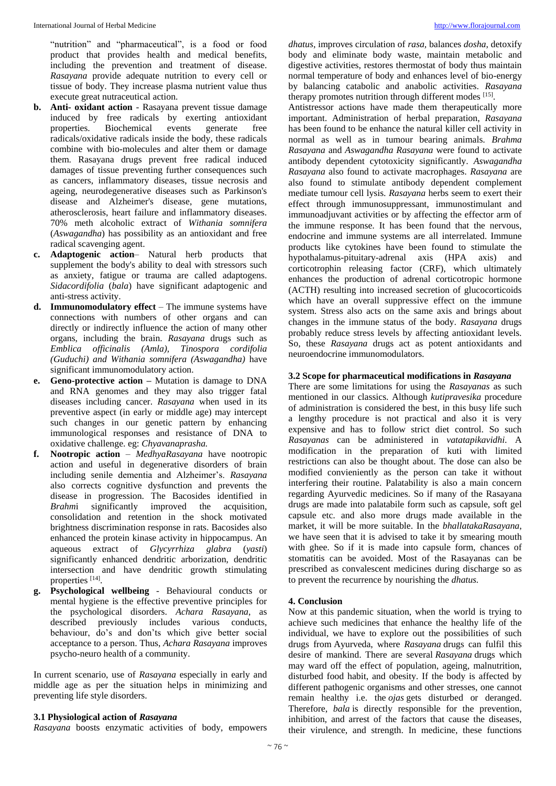"nutrition" and "pharmaceutical", is a food or food product that provides health and medical benefits, including the prevention and treatment of disease. *Rasayana* provide adequate nutrition to every cell or tissue of body. They increase plasma nutrient value thus execute great nutraceutical action.

- **b. Anti- oxidant action** Rasayana prevent tissue damage induced by free radicals by exerting antioxidant properties. Biochemical events generate free radicals/oxidative radicals inside the body, these radicals combine with bio-molecules and alter them or damage them. Rasayana drugs prevent free radical induced damages of tissue preventing further consequences such as cancers, inflammatory diseases, tissue necrosis and ageing, neurodegenerative diseases such as Parkinson's disease and Alzheimer's disease, gene mutations, atherosclerosis, heart failure and inflammatory diseases. 70% meth alcoholic extract of *Withania somnifera* (*Aswagandha*) has possibility as an antioxidant and free radical scavenging agent.
- **c. Adaptogenic action** Natural herb products that supplement the body's ability to deal with stressors such as anxiety, fatigue or trauma are called adaptogens. *Sidacordifolia* (*bala*) have significant adaptogenic and anti-stress activity.
- **d. Immunomodulatory effect** The immune systems have connections with numbers of other organs and can directly or indirectly influence the action of many other organs, including the brain. *Rasayana* drugs such as *Emblica officinalis (Amla), Tinospora cordifolia (Guduchi) and Withania somnifera (Aswagandha)* have significant immunomodulatory action.
- **e. Geno-protective action –** Mutation is damage to DNA and RNA genomes and they may also trigger fatal diseases including cancer. *Rasayana* when used in its preventive aspect (in early or middle age) may intercept such changes in our genetic pattern by enhancing immunological responses and resistance of DNA to oxidative challenge. eg: *Chyavanaprasha.*
- **f. Nootropic action** *MedhyaRasayana* have nootropic action and useful in degenerative disorders of brain including senile dementia and Alzheimer's. *Rasayana* also corrects cognitive dysfunction and prevents the disease in progression. The Bacosides identified in *Brahmi* significantly improved the acquisition, consolidation and retention in the shock motivated brightness discrimination response in rats. Bacosides also enhanced the protein kinase activity in hippocampus. An aqueous extract of *Glycyrrhiza glabra* (*yasti*) significantly enhanced dendritic arborization, dendritic intersection and have dendritic growth stimulating properties [14].
- **g. Psychological wellbeing** Behavioural conducts or mental hygiene is the effective preventive principles for the psychological disorders. *Achara Rasayana*, as described previously includes various conducts, behaviour, do's and don'ts which give better social acceptance to a person. Thus, *Achara Rasayana* improves psycho-neuro health of a community.

In current scenario, use of *Rasayana* especially in early and middle age as per the situation helps in minimizing and preventing life style disorders.

## **3.1 Physiological action of** *Rasayana*

*Rasayana* boosts enzymatic activities of body, empowers

*dhatus*, improves circulation of *rasa,* balances *dosha*, detoxify body and eliminate body waste, maintain metabolic and digestive activities, restores thermostat of body thus maintain normal temperature of body and enhances level of bio-energy by balancing catabolic and anabolic activities. *Rasayana* therapy promotes nutrition through different modes [15].

Antistressor actions have made them therapeutically more important. Administration of herbal preparation, *Rasayana* has been found to be enhance the natural killer cell activity in normal as well as in tumour bearing animals. *Brahma Rasayana* and *Aswagandha Rasayana* were found to activate antibody dependent cytotoxicity significantly. *Aswagandha Rasayana* also found to activate macrophages. *Rasayana* are also found to stimulate antibody dependent complement mediate tumour cell lysis. *Rasayana* herbs seem to exert their effect through immunosuppressant, immunostimulant and immunoadjuvant activities or by affecting the effector arm of the immune response. It has been found that the nervous, endocrine and immune systems are all interrelated. Immune products like cytokines have been found to stimulate the hypothalamus-pituitary-adrenal axis (HPA axis) and corticotrophin releasing factor (CRF), which ultimately enhances the production of adrenal corticotropic hormone (ACTH) resulting into increased secretion of glucocorticoids which have an overall suppressive effect on the immune system. Stress also acts on the same axis and brings about changes in the immune status of the body. *Rasayana* drugs probably reduce stress levels by affecting antioxidant levels. So, these *Rasayana* drugs act as potent antioxidants and neuroendocrine immunomodulators.

## **3.2 Scope for pharmaceutical modifications in** *Rasayana*

There are some limitations for using the *Rasayanas* as such mentioned in our classics. Although *kutipravesika* procedure of administration is considered the best, in this busy life such a lengthy procedure is not practical and also it is very expensive and has to follow strict diet control. So such *Rasayanas* can be administered in *vatatapikavidhi*. A modification in the preparation of kuti with limited restrictions can also be thought about. The dose can also be modified convieniently as the person can take it without interfering their routine. Palatability is also a main concern regarding Ayurvedic medicines. So if many of the Rasayana drugs are made into palatabile form such as capsule, soft gel capsule etc. and also more drugs made available in the market, it will be more suitable. In the *bhallatakaRasayana*, we have seen that it is advised to take it by smearing mouth with ghee. So if it is made into capsule form, chances of stomatitis can be avoided. Most of the Rasayanas can be prescribed as convalescent medicines during discharge so as to prevent the recurrence by nourishing the *dhatus.*

### **4. Conclusion**

Now at this pandemic situation, when the world is trying to achieve such medicines that enhance the healthy life of the individual, we have to explore out the possibilities of such drugs from Ayurveda, where *Rasayana* drugs can fulfil this desire of mankind. There are several *Rasayana* drugs which may ward off the effect of population, ageing, malnutrition, disturbed food habit, and obesity. If the body is affected by different pathogenic organisms and other stresses, one cannot remain healthy i.e. the *ojas* gets disturbed or deranged. Therefore, *bala* is directly responsible for the prevention, inhibition, and arrest of the factors that cause the diseases, their virulence, and strength. In medicine, these functions